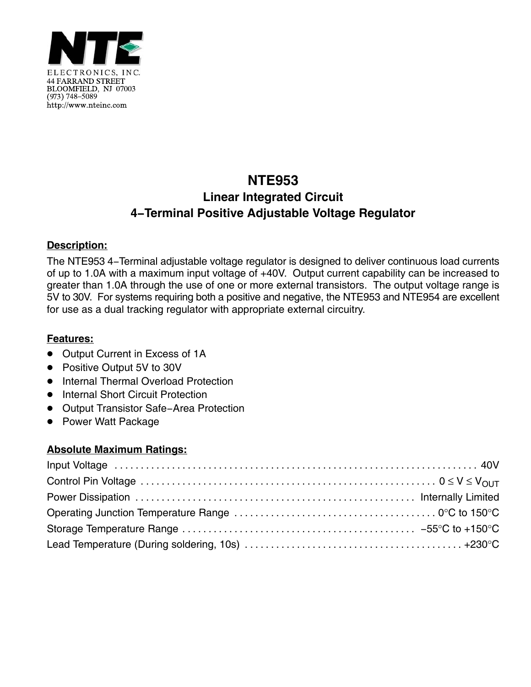

# **NTE953 Linear Integrated Circuit 4−Terminal Positive Adjustable Voltage Regulator**

#### **Description:**

The NTE953 4−Terminal adjustable voltage regulator is designed to deliver continuous load currents of up to 1.0A with a maximum input voltage of +40V. Output current capability can be increased to greater than 1.0A through the use of one or more external transistors. The output voltage range is 5V to 30V. For systems requiring both a positive and negative, the NTE953 and NTE954 are excellent for use as a dual tracking regulator with appropriate external circuitry.

## **Features:**

- Output Current in Excess of 1A
- Positive Output 5V to 30V
- **•** Internal Thermal Overload Protection
- Internal Short Circuit Protection
- Output Transistor Safe-Area Protection
- Power Watt Package

## **Absolute Maximum Ratings:**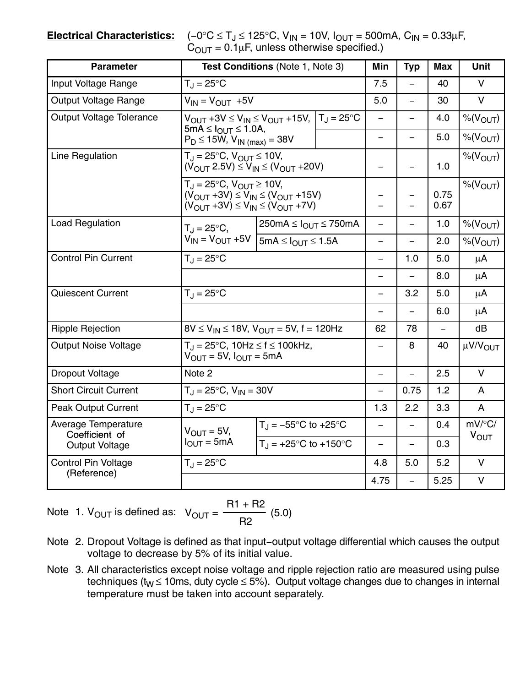**Electrical Characteristics:** 

| $(-0^{\circ}C \le T_J \le 125^{\circ}C, V_{IN} = 10V, I_{OUT} = 500mA, C_{IN} = 0.33 \mu F,$ |
|----------------------------------------------------------------------------------------------|
| $C_{\text{OUT}} = 0.1 \mu F$ , unless otherwise specified.)                                  |

| <b>Parameter</b>                                                      | Test Conditions (Note 1, Note 3)                                                                                                                                                                                                                 |                                         |          | <b>Typ</b>               | <b>Max</b>   | <b>Unit</b>                         |
|-----------------------------------------------------------------------|--------------------------------------------------------------------------------------------------------------------------------------------------------------------------------------------------------------------------------------------------|-----------------------------------------|----------|--------------------------|--------------|-------------------------------------|
| Input Voltage Range                                                   | $T_J = 25^{\circ}C$                                                                                                                                                                                                                              |                                         | 7.5      |                          | 40           | $\vee$                              |
| Output Voltage Range                                                  | $V_{IN} = V_{OUT} + 5V$                                                                                                                                                                                                                          |                                         | 5.0      | $\equiv$                 | 30           | $\vee$                              |
| <b>Output Voltage Tolerance</b>                                       | $V_{OUT}$ +3V $\leq$ $V_{IN}$ $\leq$ $V_{OUT}$ +15V, $ T_J = 25$ °C<br>$5mA \leq I_{OUT} \leq 1.0A$ ,<br>$P_D \le 15W$ , $V_{IN \ (max)} = 38V$                                                                                                  |                                         | $\equiv$ | $\overline{\phantom{0}}$ | 4.0          | $\%$ ( $V_{OUT}$ )                  |
|                                                                       |                                                                                                                                                                                                                                                  |                                         | -        |                          | 5.0          | $%$ ( $V_{OUT}$ )                   |
| Line Regulation                                                       | $T_J = 25^{\circ}C$ , $V_{OUT} \le 10V$ ,<br>$(V_{OUT} 2.5V) \le V_{IN} \le (V_{OUT} + 20V)$<br>$T_{J} = 25^{\circ}C$ , $V_{OUT} \ge 10V$ ,<br>$(V_{OUT} + 3V) \le V_{IN} \le (V_{OUT} + 15V)$<br>$(V_{OUT} + 3V) \le V_{IN} \le (V_{OUT} + 7V)$ |                                         | —        | $\overline{\phantom{0}}$ | 1.0          | $%$ ( $V_{OUT}$ )                   |
|                                                                       |                                                                                                                                                                                                                                                  |                                         |          | -<br>$\equiv$            | 0.75<br>0.67 | $\%$ ( $V_{OUT}$ )                  |
| Load Regulation                                                       | $T_{\rm J} = 25^{\circ}C$ ,<br>$V_{IN} = V_{OUT} + 5V$                                                                                                                                                                                           | $250mA \leq I_{OUT} \leq 750mA$         | -        | $\overline{\phantom{0}}$ | 1.0          | $\%$ (V <sub>OUT</sub> )            |
|                                                                       |                                                                                                                                                                                                                                                  | $5mA \leq I_{OUT} \leq 1.5A$            | -        |                          | 2.0          | $%$ ( $V_{OUT}$ )                   |
| <b>Control Pin Current</b>                                            | $T_J = 25^{\circ}C$                                                                                                                                                                                                                              |                                         | -        | 1.0                      | 5.0          | $\mu$ A                             |
|                                                                       |                                                                                                                                                                                                                                                  |                                         | -        |                          | 8.0          | μA                                  |
| <b>Quiescent Current</b>                                              | $T_{\text{J}} = 25^{\circ}C$                                                                                                                                                                                                                     |                                         |          | 3.2                      | 5.0          | $\mu$ A                             |
|                                                                       |                                                                                                                                                                                                                                                  |                                         | —        |                          | 6.0          | μA                                  |
| <b>Ripple Rejection</b>                                               | $8V \le V_{IN} \le 18V$ , $V_{OUT} = 5V$ , f = 120Hz                                                                                                                                                                                             |                                         | 62       | 78                       |              | dB                                  |
| <b>Output Noise Voltage</b>                                           | $T_{\rm d}$ = 25°C, 10Hz $\le$ f $\le$ 100kHz,<br>$V_{OUIT} = 5V$ , $I_{OUT} = 5mA$                                                                                                                                                              |                                         | -        | 8                        | 40           | µV/V <sub>OUT</sub>                 |
| <b>Dropout Voltage</b>                                                | Note 2                                                                                                                                                                                                                                           |                                         |          |                          | 2.5          | $\mathsf{V}$                        |
| <b>Short Circuit Current</b>                                          | $T_{\rm J} = 25^{\circ}C$ , $V_{\rm IN} = 30V$                                                                                                                                                                                                   |                                         |          | 0.75                     | 1.2          | A                                   |
| <b>Peak Output Current</b>                                            | $T_{\text{J}} = 25^{\circ}C$                                                                                                                                                                                                                     |                                         | 1.3      | 2.2                      | 3.3          | A                                   |
| <b>Average Temperature</b><br>Coefficient of<br><b>Output Voltage</b> | $V_{\text{OUT}} = 5V$ ,<br>$I_{OUT} = 5mA$                                                                                                                                                                                                       | $T_J = -55^{\circ}C$ to $+25^{\circ}C$  | $\equiv$ |                          | 0.4          | $mV$ <sup>o</sup> C/<br><b>VOUT</b> |
|                                                                       |                                                                                                                                                                                                                                                  | $T_J = +25^{\circ}C$ to $+150^{\circ}C$ | -        | -                        | 0.3          |                                     |
| <b>Control Pin Voltage</b>                                            | $T_{\text{J}} = 25^{\circ}C$                                                                                                                                                                                                                     |                                         | 4.8      | 5.0                      | 5.2          | $\vee$                              |
| (Reference)                                                           |                                                                                                                                                                                                                                                  |                                         | 4.75     | $\equiv$                 | 5.25         | $\mathsf{V}$                        |

Note 1. 
$$
V_{OUT}
$$
 is defined as:  $V_{OUT} = \frac{R1 + R2}{R2}$  (5.0)

- Note 2. Dropout Voltage is defined as that input−output voltage differential which causes the output voltage to decrease by 5% of its initial value.
- Note 3. All characteristics except noise voltage and ripple rejection ratio are measured using pulse techniques (t<sub>W</sub>  $\leq$  10ms, duty cycle  $\leq$  5%). Output voltage changes due to changes in internal temperature must be taken into account separately.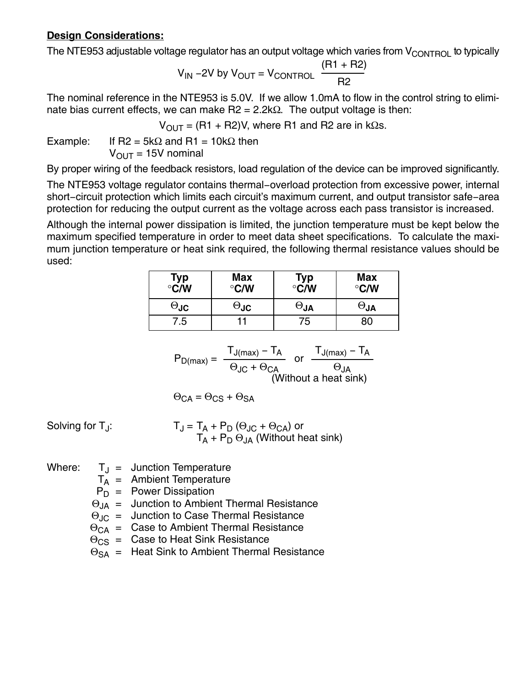#### **Design Considerations:**

The NTE953 adjustable voltage regulator has an output voltage which varies from  $V_{\text{CONTROL}}$  to typically

$$
V_{IN} - 2V \text{ by } V_{OUT} = V_{CONTROL} \quad \frac{(R1 + R2)}{R2}
$$

The nominal reference in the NTE953 is 5.0V. If we allow 1.0mA to flow in the control string to eliminate bias current effects, we can make  $R2 = 2.2kΩ$ . The output voltage is then:

 $V_{\text{OUT}} = (R1 + R2)V$ , where R1 and R2 are in kΩs.

Example: If R2 =  $5k\Omega$  and R1 =  $10k\Omega$  then  $V_{\text{OUT}} = 15V$  nominal

By proper wiring of the feedback resistors, load regulation of the device can be improved significantly.

The NTE953 voltage regulator contains thermal−overload protection from excessive power, internal short−circuit protection which limits each circuit's maximum current, and output transistor safe−area protection for reducing the output current as the voltage across each pass transistor is increased.

Although the internal power dissipation is limited, the junction temperature must be kept below the maximum specified temperature in order to meet data sheet specifications. To calculate the maximum junction temperature or heat sink required, the following thermal resistance values should be used:

| Typ<br>°C/W | <b>Max</b><br>$\degree$ C/W | Typ<br>°C/W                         | <b>Max</b><br>$\degree$ C/W |
|-------------|-----------------------------|-------------------------------------|-----------------------------|
| $\Theta$ JC | $\Theta$ JC                 | $\mathsf{e}_{\mathsf{J}\mathsf{A}}$ | $\mathsf{U}_\mathsf{U}$     |
| 7.5         |                             | 75                                  | 80                          |

$$
P_{D(max)} = \frac{T_{J(max)} - T_A}{\Theta_{JC} + \Theta_{CA}} \text{ or } \frac{T_{J(max)} - T_A}{\Theta_{JA}}
$$
  
(Without a heat sink)

$$
\Theta_{\text{CA}} = \Theta_{\text{CS}} + \Theta_{\text{SA}}
$$

Solving for  $T_J$ :

$$
T_J = T_A + P_D (\Theta_{JC} + \Theta_{CA}) \text{ or}
$$
  
 
$$
T_A + P_D \Theta_{JA} \text{ (Without heat sink)}
$$

- Where:  $T_{\text{J}}$  = Junction Temperature
	- $T_A$  = Ambient Temperature
	- $P_D$  = Power Dissipation
	- $\Theta_{JA}$  = Junction to Ambient Thermal Resistance
	- $\Theta_{\text{JC}}$  = Junction to Case Thermal Resistance
	- $\Theta_{CA}$  = Case to Ambient Thermal Resistance
	- $\Theta_{\text{CS}}$  = Case to Heat Sink Resistance
	- $\Theta_{SA}$  = Heat Sink to Ambient Thermal Resistance